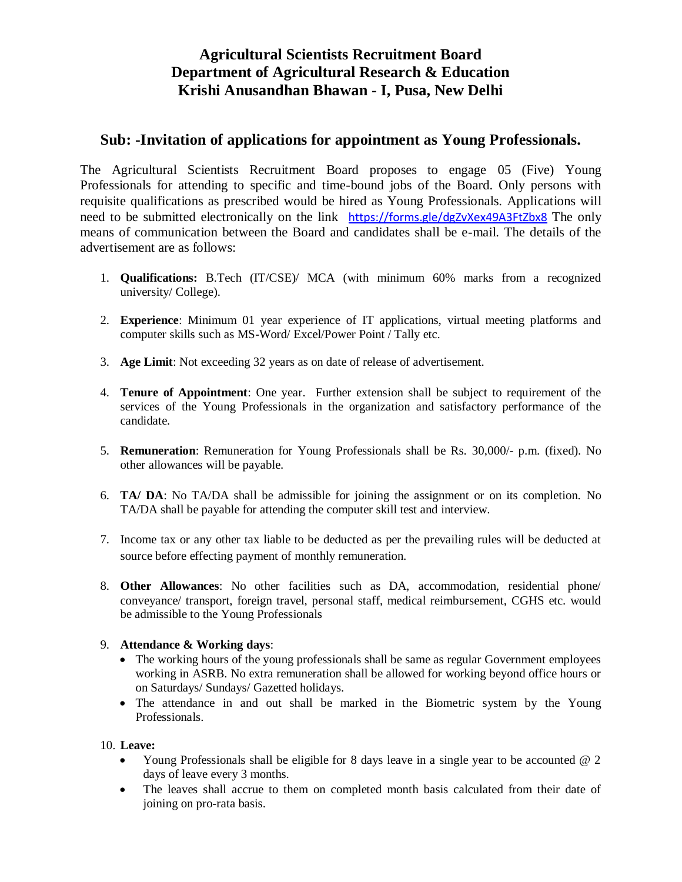# **Agricultural Scientists Recruitment Board Department of Agricultural Research & Education Krishi Anusandhan Bhawan - I, Pusa, New Delhi**

# **Sub: -Invitation of applications for appointment as Young Professionals.**

The Agricultural Scientists Recruitment Board proposes to engage 05 (Five) Young Professionals for attending to specific and time-bound jobs of the Board. Only persons with requisite qualifications as prescribed would be hired as Young Professionals. Applications will need to be submitted electronically on the link https://forms.gle/dgZvXex49A3FtZbx8 The only means of communication between the Board and candidates shall be e-mail. The details of the advertisement are as follows:

- 1. **Qualifications:** B.Tech (IT/CSE)/ MCA (with minimum 60% marks from a recognized university/ College).
- 2. **Experience**: Minimum 01 year experience of IT applications, virtual meeting platforms and computer skills such as MS-Word/ Excel/Power Point / Tally etc.
- 3. **Age Limit**: Not exceeding 32 years as on date of release of advertisement.
- 4. **Tenure of Appointment**: One year. Further extension shall be subject to requirement of the services of the Young Professionals in the organization and satisfactory performance of the candidate.
- 5. **Remuneration**: Remuneration for Young Professionals shall be Rs. 30,000/- p.m. (fixed). No other allowances will be payable.
- 6. **TA/ DA**: No TA/DA shall be admissible for joining the assignment or on its completion. No TA/DA shall be payable for attending the computer skill test and interview.
- 7. Income tax or any other tax liable to be deducted as per the prevailing rules will be deducted at source before effecting payment of monthly remuneration.
- 8. **Other Allowances**: No other facilities such as DA, accommodation, residential phone/ conveyance/ transport, foreign travel, personal staff, medical reimbursement, CGHS etc. would be admissible to the Young Professionals

#### 9. **Attendance & Working days**:

- The working hours of the young professionals shall be same as regular Government employees working in ASRB. No extra remuneration shall be allowed for working beyond office hours or on Saturdays/ Sundays/ Gazetted holidays.
- The attendance in and out shall be marked in the Biometric system by the Young Professionals.

#### 10. **Leave:**

- Young Professionals shall be eligible for 8 days leave in a single year to be accounted  $@$  2 days of leave every 3 months.
- The leaves shall accrue to them on completed month basis calculated from their date of joining on pro-rata basis.